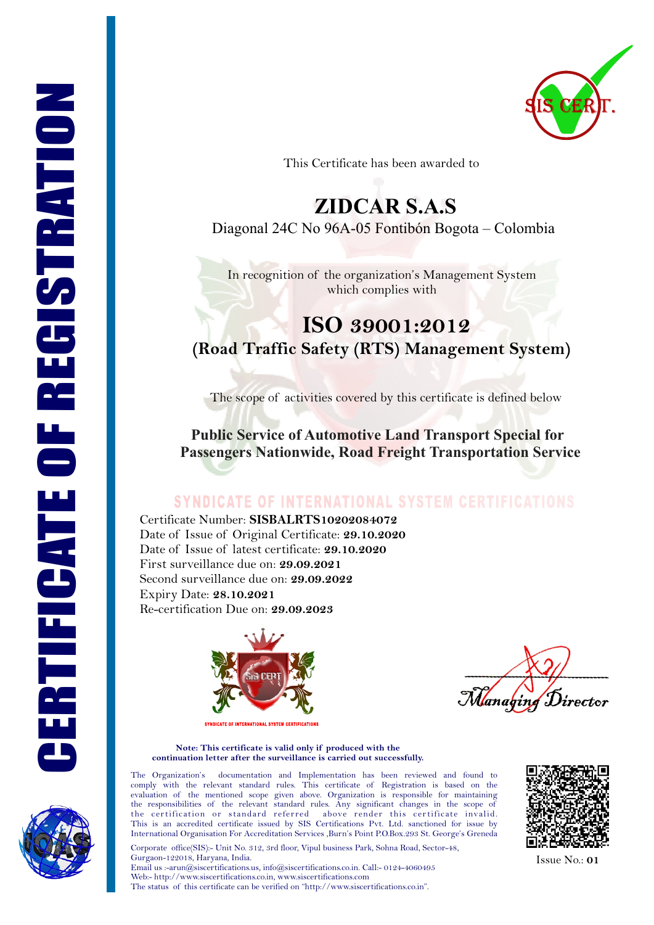

This Certificate has been awarded to

# **ZIDCAR S.A.S**

Diagonal 24C No 96A-05 Fontibón Bogota – Colombia

In recognition of the organization's Management System which complies with

## **ISO 39001:2012 (Road Traffic Safety (RTS) Management System)**

The scope of activities covered by this certificate is defined below

 **Public Service of Automotive Land Transport Special for Passengers Nationwide, Road Freight Transportation Service**

### **SYNDICATE OF INTERNATIONAL SYSTEM CERTIFICATIONS**

Certificate Number: **SISBALRTS10202084072**  Re-certification Due on: **29.09.2023** Date of Issue of Original Certificate: **29.10.2020** Date of Issue of latest certificate: **29.10.2020** First surveillance due on: **29.09.2021** Second surveillance due on: **29.09.2022**  Expiry Date: **28.10.2021**



anabine  $`irector$ 

**Note: This certificate is valid only if produced with the continuation letter after the surveillance is carried out successfully.**

The Organization's documentation and Implementation has been reviewed and found to comply with the relevant standard rules. This certificate of Registration is based on the evaluation of the mentioned scope given above. Organization is responsible for maintaining the responsibilities of the relevant standard rules. Any significant changes in the scope of the certification or standard referred above render this certificate invalid. the certification or standard referred This is an accredited certificate issued by SIS Certifications Pvt. Ltd. sanctioned for issue by International Organisation For Accreditation Services ,Burn's Point P.O.Box.293 St. George's Greneda

Corporate office(SIS):- Unit No. 312, 3rd floor, Vipul business Park, Sohna Road, Sector-48, Gurgaon-122018, Haryana, India. Email us :-arun@siscertifications.us, info@siscertifications.co.in. Call:- 0124-4060495 Web:- http://www.siscertifications.co.in, www.siscertifications.com The status of this certificate can be verified on "http://www.siscertifications.co.in".



Issue No.: **01**